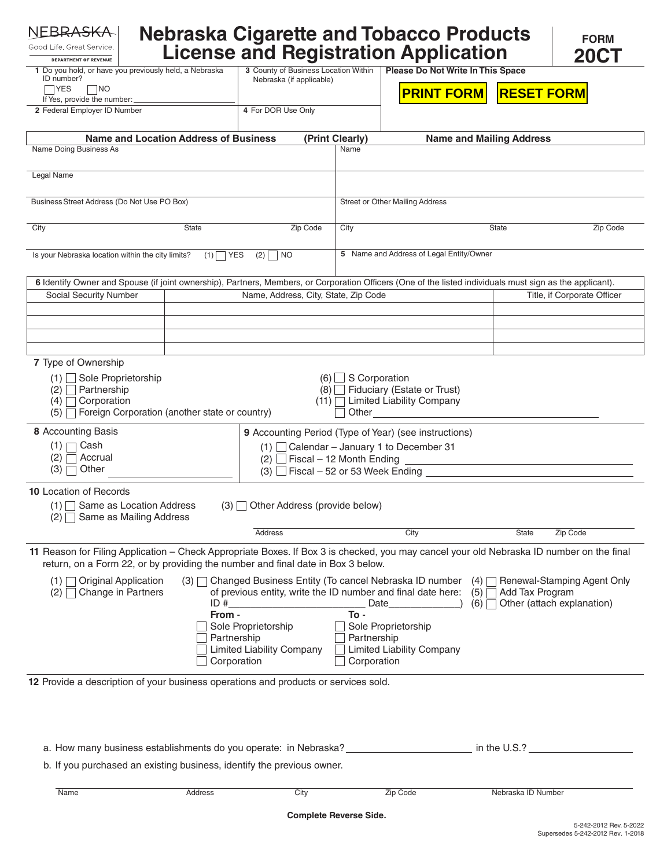| NEBRA <del>SKA</del>                                                                        | Nebraska Cigarette and Tobacco Products                                                                                                                  |                                      |                                      |                                     |                                                                                         |                                 | <b>FORM</b>                 |  |
|---------------------------------------------------------------------------------------------|----------------------------------------------------------------------------------------------------------------------------------------------------------|--------------------------------------|--------------------------------------|-------------------------------------|-----------------------------------------------------------------------------------------|---------------------------------|-----------------------------|--|
| Good Life. Great Service.<br><b>DEPARTMENT OF REVENUE</b>                                   |                                                                                                                                                          |                                      |                                      |                                     | <b>License and Registration Application</b>                                             |                                 | 20CT                        |  |
| 1 Do you hold, or have you previously held, a Nebraska<br>ID number?<br><b>YES</b><br>   NO |                                                                                                                                                          |                                      | 3 County of Business Location Within |                                     | <b>Please Do Not Write In This Space</b>                                                |                                 |                             |  |
|                                                                                             |                                                                                                                                                          | Nebraska (if applicable)             |                                      |                                     | <b>PRINT FORM</b>                                                                       | <b>RESET FORM</b>               |                             |  |
| If Yes, provide the number:<br>2 Federal Employer ID Number                                 |                                                                                                                                                          | 4 For DOR Use Only                   |                                      |                                     |                                                                                         |                                 |                             |  |
|                                                                                             |                                                                                                                                                          |                                      |                                      |                                     |                                                                                         |                                 |                             |  |
|                                                                                             | <b>Name and Location Address of Business</b>                                                                                                             |                                      |                                      | (Print Clearly)                     |                                                                                         | <b>Name and Mailing Address</b> |                             |  |
| Name Doing Business As                                                                      |                                                                                                                                                          |                                      |                                      | Name                                |                                                                                         |                                 |                             |  |
| Legal Name                                                                                  |                                                                                                                                                          |                                      |                                      |                                     |                                                                                         |                                 |                             |  |
| Business Street Address (Do Not Use PO Box)                                                 |                                                                                                                                                          |                                      |                                      | Street or Other Mailing Address     |                                                                                         |                                 |                             |  |
|                                                                                             |                                                                                                                                                          |                                      |                                      |                                     |                                                                                         |                                 |                             |  |
| City                                                                                        | <b>State</b>                                                                                                                                             |                                      | Zip Code                             | City                                |                                                                                         | State                           | Zip Code                    |  |
|                                                                                             |                                                                                                                                                          |                                      |                                      |                                     | 5 Name and Address of Legal Entity/Owner                                                |                                 |                             |  |
| Is your Nebraska location within the city limits?                                           | $(1)$ YES                                                                                                                                                | $(2)$ NO                             |                                      |                                     |                                                                                         |                                 |                             |  |
|                                                                                             | 6 Identify Owner and Spouse (if joint ownership), Partners, Members, or Corporation Officers (One of the listed individuals must sign as the applicant). |                                      |                                      |                                     |                                                                                         |                                 |                             |  |
| Social Security Number                                                                      |                                                                                                                                                          | Name, Address, City, State, Zip Code |                                      |                                     |                                                                                         |                                 | Title, if Corporate Officer |  |
|                                                                                             |                                                                                                                                                          |                                      |                                      |                                     |                                                                                         |                                 |                             |  |
|                                                                                             |                                                                                                                                                          |                                      |                                      |                                     |                                                                                         |                                 |                             |  |
|                                                                                             |                                                                                                                                                          |                                      |                                      |                                     |                                                                                         |                                 |                             |  |
| 7 Type of Ownership                                                                         |                                                                                                                                                          |                                      |                                      |                                     |                                                                                         |                                 |                             |  |
| $(1)$ Sole Proprietorship<br>$(2)$ $\Box$ Partnership                                       |                                                                                                                                                          |                                      |                                      | $(6)$ S Corporation                 | (8) Fiduciary (Estate or Trust)                                                         |                                 |                             |  |
| $(4)$ $\Box$ Corporation                                                                    |                                                                                                                                                          |                                      |                                      |                                     | (11)   Limited Liability Company                                                        |                                 |                             |  |
| $(5)$                                                                                       | Foreign Corporation (another state or country)                                                                                                           |                                      |                                      | Other                               |                                                                                         |                                 |                             |  |
| 8 Accounting Basis                                                                          |                                                                                                                                                          |                                      |                                      |                                     | 9 Accounting Period (Type of Year) (see instructions)                                   |                                 |                             |  |
| $(1)$ $\Box$ Cash                                                                           |                                                                                                                                                          |                                      |                                      |                                     | $(1)$ Calendar - January 1 to December 31                                               |                                 |                             |  |
| $(2)$ $\Box$ Accrual                                                                        |                                                                                                                                                          |                                      |                                      | $(2)$ Fiscal - 12 Month Ending      |                                                                                         |                                 |                             |  |
| $(3)$ $\Box$ Other                                                                          |                                                                                                                                                          |                                      |                                      | $(3)$ Fiscal – 52 or 53 Week Ending |                                                                                         |                                 |                             |  |
| <b>10 Location of Records</b>                                                               |                                                                                                                                                          |                                      |                                      |                                     |                                                                                         |                                 |                             |  |
| $(1)$ Same as Location Address<br>(2) □ Same as Mailing Address                             |                                                                                                                                                          | $(3)$ Other Address (provide below)  |                                      |                                     |                                                                                         |                                 |                             |  |
|                                                                                             |                                                                                                                                                          | <b>Address</b>                       |                                      |                                     | City                                                                                    | State                           | Zip Code                    |  |
|                                                                                             | 11 Reason for Filing Application - Check Appropriate Boxes. If Box 3 is checked, you may cancel your old Nebraska ID number on the final                 |                                      |                                      |                                     |                                                                                         |                                 |                             |  |
|                                                                                             | return, on a Form 22, or by providing the number and final date in Box 3 below.                                                                          |                                      |                                      |                                     |                                                                                         |                                 |                             |  |
| $(1)$ $\Box$ Original Application                                                           | (3)                                                                                                                                                      |                                      |                                      |                                     | Changed Business Entity (To cancel Nebraska ID number (4)   Renewal-Stamping Agent Only |                                 |                             |  |
| $(2)$ Change in Partners                                                                    |                                                                                                                                                          |                                      |                                      |                                     | of previous entity, write the ID number and final date here:                            | Add Tax Program<br>(5)          |                             |  |
|                                                                                             | ID #<br>From -                                                                                                                                           |                                      |                                      | Date<br>To -                        |                                                                                         | (6)                             | Other (attach explanation)  |  |
|                                                                                             |                                                                                                                                                          | Sole Proprietorship                  |                                      |                                     | Sole Proprietorship                                                                     |                                 |                             |  |
|                                                                                             |                                                                                                                                                          | Partnership                          |                                      | Partnership                         |                                                                                         |                                 |                             |  |
|                                                                                             |                                                                                                                                                          | <b>Limited Liability Company</b>     |                                      |                                     | <b>Limited Liability Company</b>                                                        |                                 |                             |  |
|                                                                                             |                                                                                                                                                          | Corporation                          |                                      | Corporation                         |                                                                                         |                                 |                             |  |
|                                                                                             | 12 Provide a description of your business operations and products or services sold.                                                                      |                                      |                                      |                                     |                                                                                         |                                 |                             |  |
|                                                                                             |                                                                                                                                                          |                                      |                                      |                                     |                                                                                         |                                 |                             |  |
|                                                                                             |                                                                                                                                                          |                                      |                                      |                                     |                                                                                         |                                 |                             |  |
|                                                                                             |                                                                                                                                                          |                                      |                                      |                                     |                                                                                         |                                 |                             |  |
|                                                                                             | a. How many business establishments do you operate: in Nebraska? ________________                                                                        |                                      |                                      |                                     |                                                                                         |                                 |                             |  |
|                                                                                             | b. If you purchased an existing business, identify the previous owner.                                                                                   |                                      |                                      |                                     |                                                                                         |                                 |                             |  |
|                                                                                             |                                                                                                                                                          |                                      |                                      |                                     |                                                                                         |                                 |                             |  |
| Name                                                                                        | Address                                                                                                                                                  |                                      | City                                 |                                     | Zip Code                                                                                | Nebraska ID Number              |                             |  |

**Complete Reverse Side.**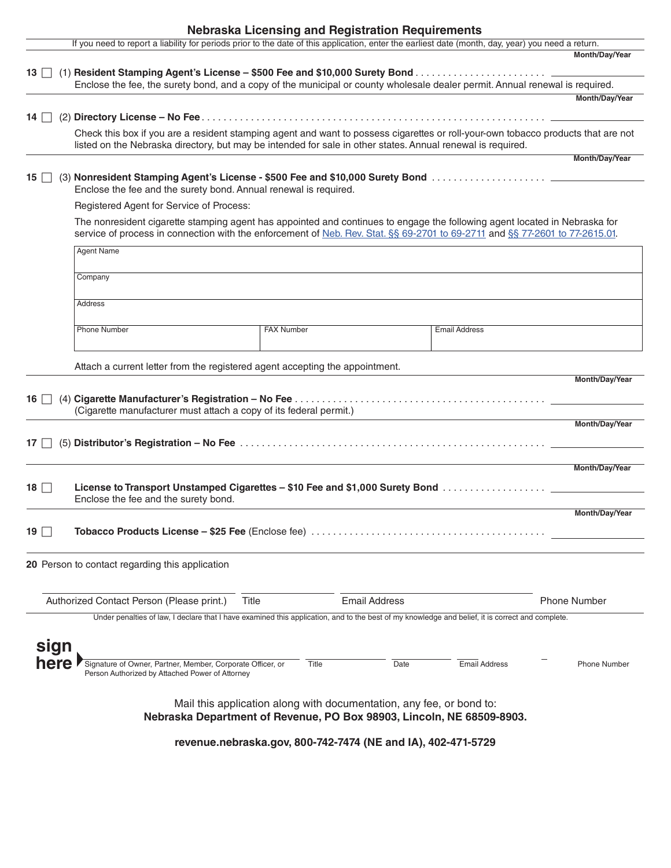|           |                                                                                                                                                                                                                                                            |                   | <b>Nebraska Licensing and Registration Requirements</b>              |                                                                       |                     |
|-----------|------------------------------------------------------------------------------------------------------------------------------------------------------------------------------------------------------------------------------------------------------------|-------------------|----------------------------------------------------------------------|-----------------------------------------------------------------------|---------------------|
|           | If you need to report a liability for periods prior to the date of this application, enter the earliest date (month, day, year) you need a return.                                                                                                         |                   |                                                                      |                                                                       | Month/Day/Year      |
| 13        |                                                                                                                                                                                                                                                            |                   |                                                                      |                                                                       |                     |
|           | Enclose the fee, the surety bond, and a copy of the municipal or county wholesale dealer permit. Annual renewal is required.                                                                                                                               |                   |                                                                      |                                                                       |                     |
|           |                                                                                                                                                                                                                                                            |                   |                                                                      |                                                                       | Month/Day/Year      |
| 14 I      |                                                                                                                                                                                                                                                            |                   |                                                                      |                                                                       |                     |
|           | Check this box if you are a resident stamping agent and want to possess cigarettes or roll-your-own tobacco products that are not<br>listed on the Nebraska directory, but may be intended for sale in other states. Annual renewal is required.           |                   |                                                                      |                                                                       |                     |
|           |                                                                                                                                                                                                                                                            |                   |                                                                      |                                                                       | Month/Day/Year      |
| 15        | Enclose the fee and the surety bond. Annual renewal is required.                                                                                                                                                                                           |                   |                                                                      |                                                                       |                     |
|           | Registered Agent for Service of Process:                                                                                                                                                                                                                   |                   |                                                                      |                                                                       |                     |
|           | The nonresident cigarette stamping agent has appointed and continues to engage the following agent located in Nebraska for<br>service of process in connection with the enforcement of Neb. Rev. Stat. §§ 69-2701 to 69-2711 and §§ 77-2601 to 77-2615.01. |                   |                                                                      |                                                                       |                     |
|           | <b>Agent Name</b>                                                                                                                                                                                                                                          |                   |                                                                      |                                                                       |                     |
|           | Company                                                                                                                                                                                                                                                    |                   |                                                                      |                                                                       |                     |
|           |                                                                                                                                                                                                                                                            |                   |                                                                      |                                                                       |                     |
|           | <b>Address</b>                                                                                                                                                                                                                                             |                   |                                                                      |                                                                       |                     |
|           | Phone Number                                                                                                                                                                                                                                               | <b>FAX Number</b> |                                                                      | <b>Email Address</b>                                                  |                     |
|           |                                                                                                                                                                                                                                                            |                   |                                                                      |                                                                       |                     |
|           | Attach a current letter from the registered agent accepting the appointment.                                                                                                                                                                               |                   |                                                                      |                                                                       |                     |
|           |                                                                                                                                                                                                                                                            |                   |                                                                      |                                                                       | Month/Day/Year      |
| 16        |                                                                                                                                                                                                                                                            |                   |                                                                      |                                                                       |                     |
|           | (Cigarette manufacturer must attach a copy of its federal permit.)                                                                                                                                                                                         |                   |                                                                      |                                                                       | Month/Day/Year      |
| $17 \mid$ |                                                                                                                                                                                                                                                            |                   |                                                                      |                                                                       |                     |
|           |                                                                                                                                                                                                                                                            |                   |                                                                      |                                                                       |                     |
|           |                                                                                                                                                                                                                                                            |                   |                                                                      |                                                                       | Month/Day/Year      |
| 18 $\Box$ | License to Transport Unstamped Cigarettes - \$10 Fee and \$1,000 Surety Bond                                                                                                                                                                               |                   |                                                                      |                                                                       |                     |
|           | Enclose the fee and the surety bond.                                                                                                                                                                                                                       |                   |                                                                      |                                                                       | Month/Day/Year      |
| 19        |                                                                                                                                                                                                                                                            |                   |                                                                      |                                                                       |                     |
|           |                                                                                                                                                                                                                                                            |                   |                                                                      |                                                                       |                     |
|           | 20 Person to contact regarding this application                                                                                                                                                                                                            |                   |                                                                      |                                                                       |                     |
|           |                                                                                                                                                                                                                                                            |                   |                                                                      |                                                                       |                     |
|           | Authorized Contact Person (Please print.)                                                                                                                                                                                                                  | Title             | <b>Email Address</b>                                                 |                                                                       | <b>Phone Number</b> |
|           | Under penalties of law, I declare that I have examined this application, and to the best of my knowledge and belief, it is correct and complete.                                                                                                           |                   |                                                                      |                                                                       |                     |
|           |                                                                                                                                                                                                                                                            |                   |                                                                      |                                                                       |                     |
| sign      |                                                                                                                                                                                                                                                            |                   |                                                                      |                                                                       |                     |
| here      | Signature of Owner, Partner, Member, Corporate Officer, or<br>Person Authorized by Attached Power of Attorney                                                                                                                                              | Title             | Date                                                                 | Email Address                                                         | <b>Phone Number</b> |
|           |                                                                                                                                                                                                                                                            |                   | Mail this application along with documentation, any fee, or bond to: |                                                                       |                     |
|           |                                                                                                                                                                                                                                                            |                   |                                                                      | Nebraska Department of Revenue, PO Box 98903, Lincoln, NE 68509-8903. |                     |
|           |                                                                                                                                                                                                                                                            |                   |                                                                      |                                                                       |                     |

**revenue.nebraska.gov, 800-742-7474 (NE and IA), 402-471-5729**